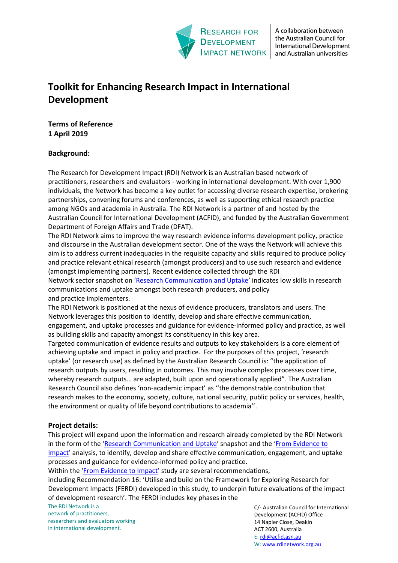

A collaboration between the Australian Council for International Development and Australian universities

# **Toolkit for Enhancing Research Impact in International Development**

**Terms of Reference 1 April 2019**

# **Background:**

The Research for Development Impact (RDI) Network is an Australian based network of practitioners, researchers and evaluators - working in international development. With over 1,900 individuals, the Network has become a key outlet for accessing diverse research expertise, brokering partnerships, convening forums and conferences, as well as supporting ethical research practice among NGOs and academia in Australia. The RDI Network is a partner of and hosted by the Australian Council for International Development (ACFID), and funded by the Australian Government Department of Foreign Affairs and Trade (DFAT).

The RDI Network aims to improve the way research evidence informs development policy, practice and discourse in the Australian development sector. One of the ways the Network will achieve this aim is to address current inadequacies in the requisite capacity and skills required to produce policy and practice relevant ethical research (amongst producers) and to use such research and evidence (amongst implementing partners). Recent evidence collected through the RDI Network sector snapshot on ['Research Communication and Uptake'](https://rdinetwork.org.au/resources/research-communication-and-uptake/) indicates low skills in research communications and uptake amongst both research producers, and policy and practice implementers.

The RDI Network is positioned at the nexus of evidence producers, translators and users. The Network leverages this position to identify, develop and share effective communication, engagement, and uptake processes and guidance for evidence-informed policy and practice, as well as building skills and capacity amongst its constituency in this key area.

Targeted communication of evidence results and outputs to key stakeholders is a core element of achieving uptake and impact in policy and practice. For the purposes of this project, 'research uptake' (or research use) as defined by the Australian Research Council is: "the application of research outputs by users, resulting in outcomes. This may involve complex processes over time, whereby research outputs… are adapted, built upon and operationally applied". The Australian Research Council also defines 'non-academic impact' as ''the demonstrable contribution that research makes to the economy, society, culture, national security, public policy or services, health, the environment or quality of life beyond contributions to academia''.

## **Project details:**

This project will expand upon the information and research already completed by the RDI Network in the form of the ['Research Communication and Uptake'](https://rdinetwork.org.au/resources/research-communication-and-uptake/) snapshot and the ['From Evidence to](https://rdinetwork.org.au/resources/policy-and-practice-impact/)  [Impact'](https://rdinetwork.org.au/resources/policy-and-practice-impact/) analysis, to identify, develop and share effective communication, engagement, and uptake processes and guidance for evidence-informed policy and practice.

Within the ['From Evidence to Impact'](https://rdinetwork.org.au/resources/policy-and-practice-impact/) study are several recommendations,

including Recommendation 16: 'Utilise and build on the Framework for Exploring Research for Development Impacts (FERDI) developed in this study, to underpin future evaluations of the impact of development research'. The FERDI includes key phases in the

The RDI Network is a network of practitioners, researchers and evaluators working in international development.

C/- Australian Council for International Development (ACFID) Office 14 Napier Close, Deakin ACT 2600, Australia E: [rdi@acfid.asn.au](mailto:rdi@acfid.asn.au) W[: www.rdinetwork.org.au](http://www.rdinetwork.org.au/)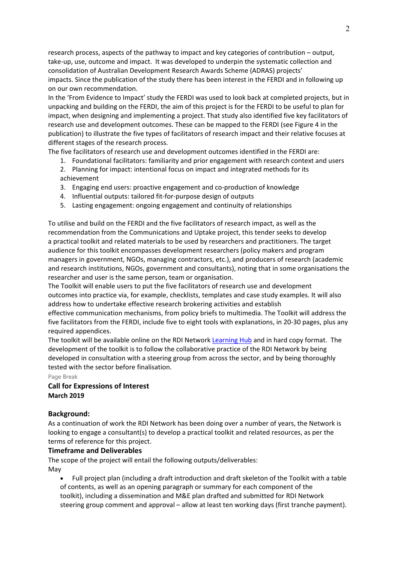research process, aspects of the pathway to impact and key categories of contribution – output, take-up, use, outcome and impact. It was developed to underpin the systematic collection and consolidation of Australian Development Research Awards Scheme (ADRAS) projects' impacts. Since the publication of the study there has been interest in the FERDI and in following up on our own recommendation.

In the 'From Evidence to Impact' study the FERDI was used to look back at completed projects, but in unpacking and building on the FERDI, the aim of this project is for the FERDI to be useful to plan for impact, when designing and implementing a project. That study also identified five key facilitators of research use and development outcomes. These can be mapped to the FERDI (see Figure 4 in the publication) to illustrate the five types of facilitators of research impact and their relative focuses at different stages of the research process.

The five facilitators of research use and development outcomes identified in the FERDI are:

- 1. Foundational facilitators: familiarity and prior engagement with research context and users
- 2. Planning for impact: intentional focus on impact and integrated methods for its achievement
- 3. Engaging end users: proactive engagement and co-production of knowledge
- 4. Influential outputs: tailored fit-for-purpose design of outputs
- 5. Lasting engagement: ongoing engagement and continuity of relationships

To utilise and build on the FERDI and the five facilitators of research impact, as well as the recommendation from the Communications and Uptake project, this tender seeks to develop a practical toolkit and related materials to be used by researchers and practitioners. The target audience for this toolkit encompasses development researchers (policy makers and program managers in government, NGOs, managing contractors, etc.), and producers of research (academic and research institutions, NGOs, government and consultants), noting that in some organisations the researcher and user is the same person, team or organisation.

The Toolkit will enable users to put the five facilitators of research use and development outcomes into practice via, for example, checklists, templates and case study examples. It will also address how to undertake effective research brokering activities and establish

effective communication mechanisms, from policy briefs to multimedia. The Toolkit will address the five facilitators from the FERDI, include five to eight tools with explanations, in 20-30 pages, plus any required appendices.

The toolkit will be available online on the RDI Network [Learning Hub](https://rdinetwork.org.au/resources/) and in hard copy format. The development of the toolkit is to follow the collaborative practice of the RDI Network by being developed in consultation with a steering group from across the sector, and by being thoroughly tested with the sector before finalisation.

Page Break

## **Call for Expressions of Interest March 2019**

#### **Background:**

As a continuation of work the RDI Network has been doing over a number of years, the Network is looking to engage a consultant(s) to develop a practical toolkit and related resources, as per the terms of reference for this project.

#### **Timeframe and Deliverables**

The scope of the project will entail the following outputs/deliverables: May

• Full project plan (including a draft introduction and draft skeleton of the Toolkit with a table of contents, as well as an opening paragraph or summary for each component of the toolkit), including a dissemination and M&E plan drafted and submitted for RDI Network steering group comment and approval – allow at least ten working days (first tranche payment).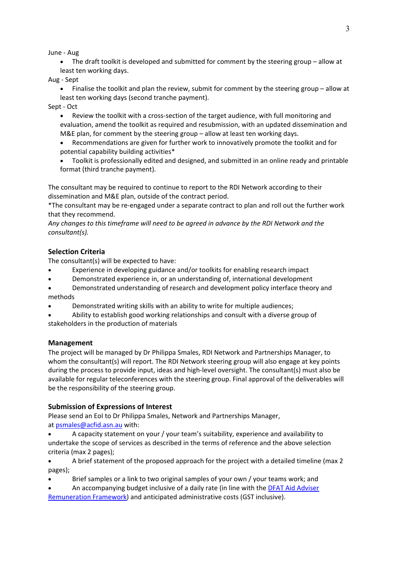June - Aug

• The draft toolkit is developed and submitted for comment by the steering group – allow at least ten working days.

Aug - Sept

• Finalise the toolkit and plan the review, submit for comment by the steering group – allow at least ten working days (second tranche payment).

Sept - Oct

• Review the toolkit with a cross-section of the target audience, with full monitoring and evaluation, amend the toolkit as required and resubmission, with an updated dissemination and M&E plan, for comment by the steering group – allow at least ten working days.

• Recommendations are given for further work to innovatively promote the toolkit and for potential capability building activities\*

• Toolkit is professionally edited and designed, and submitted in an online ready and printable format (third tranche payment).

The consultant may be required to continue to report to the RDI Network according to their dissemination and M&E plan, outside of the contract period.

\*The consultant may be re-engaged under a separate contract to plan and roll out the further work that they recommend.

*Any changes to this timeframe will need to be agreed in advance by the RDI Network and the consultant(s).*

## **Selection Criteria**

The consultant(s) will be expected to have:

- Experience in developing guidance and/or toolkits for enabling research impact
- Demonstrated experience in, or an understanding of, international development
- Demonstrated understanding of research and development policy interface theory and methods
- Demonstrated writing skills with an ability to write for multiple audiences;
- Ability to establish good working relationships and consult with a diverse group of stakeholders in the production of materials

#### **Management**

The project will be managed by Dr Philippa Smales, RDI Network and Partnerships Manager, to whom the consultant(s) will report. The RDI Network steering group will also engage at key points during the process to provide input, ideas and high-level oversight. The consultant(s) must also be available for regular teleconferences with the steering group. Final approval of the deliverables will be the responsibility of the steering group.

## **Submission of Expressions of Interest**

Please send an EoI to Dr Philippa Smales, Network and Partnerships Manager, at [psmales@acfid.asn.au](mailto:psmales@acfid.asn.au) with:

• A capacity statement on your / your team's suitability, experience and availability to undertake the scope of services as described in the terms of reference and the above selection criteria (max 2 pages);

• A brief statement of the proposed approach for the project with a detailed timeline (max 2 pages);

Brief samples or a link to two original samples of your own / your teams work; and

• An accompanying budget inclusive of a daily rate (in line with the [DFAT Aid Adviser](https://dfat.gov.au/about-us/publications/Documents/adviser-remuneration-framework-2016.pdf)  [Remuneration Framework\)](https://dfat.gov.au/about-us/publications/Documents/adviser-remuneration-framework-2016.pdf) and anticipated administrative costs (GST inclusive).